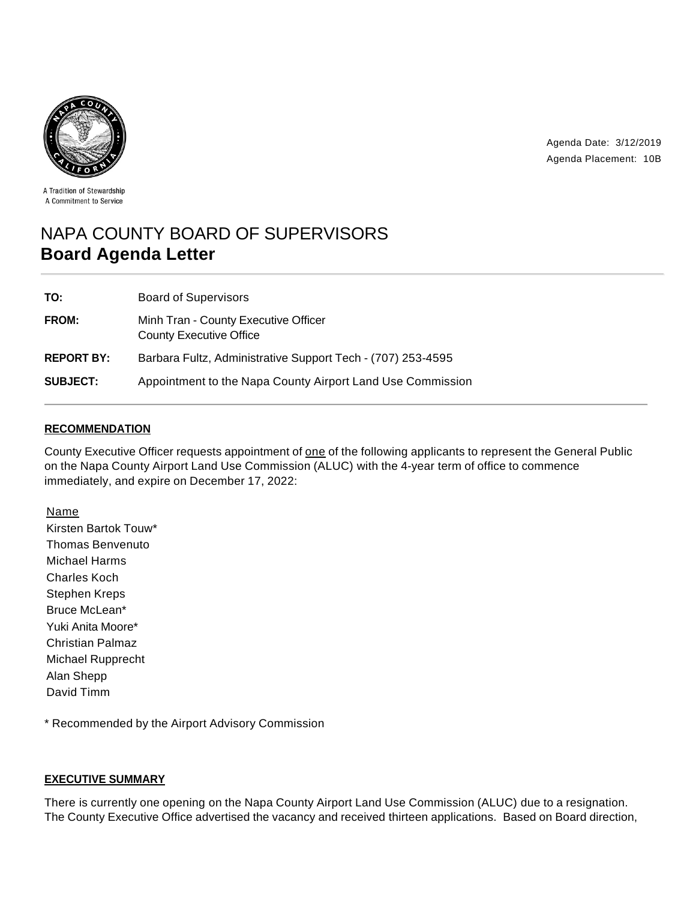

Agenda Date: 3/12/2019 Agenda Placement: 10B

A Tradition of Stewardship A Commitment to Service

# NAPA COUNTY BOARD OF SUPERVISORS **Board Agenda Letter**

| TO:               | <b>Board of Supervisors</b>                                            |
|-------------------|------------------------------------------------------------------------|
| <b>FROM:</b>      | Minh Tran - County Executive Officer<br><b>County Executive Office</b> |
| <b>REPORT BY:</b> | Barbara Fultz, Administrative Support Tech - (707) 253-4595            |
| SUBJECT:          | Appointment to the Napa County Airport Land Use Commission             |

## **RECOMMENDATION**

County Executive Officer requests appointment of one of the following applicants to represent the General Public on the Napa County Airport Land Use Commission (ALUC) with the 4-year term of office to commence immediately, and expire on December 17, 2022:

Name Kirsten Bartok Touw\* Thomas Benvenuto Michael Harms Charles Koch Stephen Kreps Bruce McLean\* Yuki Anita Moore\* Christian Palmaz Michael Rupprecht Alan Shepp David Timm

\* Recommended by the Airport Advisory Commission

#### **EXECUTIVE SUMMARY**

There is currently one opening on the Napa County Airport Land Use Commission (ALUC) due to a resignation. The County Executive Office advertised the vacancy and received thirteen applications. Based on Board direction,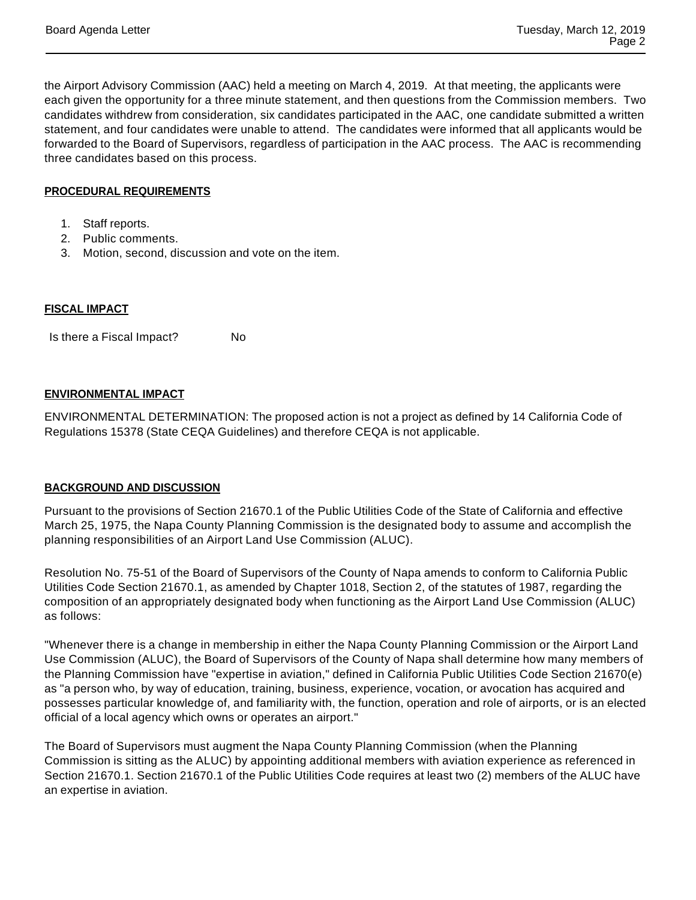the Airport Advisory Commission (AAC) held a meeting on March 4, 2019. At that meeting, the applicants were each given the opportunity for a three minute statement, and then questions from the Commission members. Two candidates withdrew from consideration, six candidates participated in the AAC, one candidate submitted a written statement, and four candidates were unable to attend. The candidates were informed that all applicants would be forwarded to the Board of Supervisors, regardless of participation in the AAC process. The AAC is recommending three candidates based on this process.

# **PROCEDURAL REQUIREMENTS**

- 1. Staff reports.
- 2. Public comments.
- 3. Motion, second, discussion and vote on the item.

#### **FISCAL IMPACT**

Is there a Fiscal Impact? No

#### **ENVIRONMENTAL IMPACT**

ENVIRONMENTAL DETERMINATION: The proposed action is not a project as defined by 14 California Code of Regulations 15378 (State CEQA Guidelines) and therefore CEQA is not applicable.

#### **BACKGROUND AND DISCUSSION**

Pursuant to the provisions of Section 21670.1 of the Public Utilities Code of the State of California and effective March 25, 1975, the Napa County Planning Commission is the designated body to assume and accomplish the planning responsibilities of an Airport Land Use Commission (ALUC).

Resolution No. 75-51 of the Board of Supervisors of the County of Napa amends to conform to California Public Utilities Code Section 21670.1, as amended by Chapter 1018, Section 2, of the statutes of 1987, regarding the composition of an appropriately designated body when functioning as the Airport Land Use Commission (ALUC) as follows:

"Whenever there is a change in membership in either the Napa County Planning Commission or the Airport Land Use Commission (ALUC), the Board of Supervisors of the County of Napa shall determine how many members of the Planning Commission have "expertise in aviation," defined in California Public Utilities Code Section 21670(e) as "a person who, by way of education, training, business, experience, vocation, or avocation has acquired and possesses particular knowledge of, and familiarity with, the function, operation and role of airports, or is an elected official of a local agency which owns or operates an airport."

The Board of Supervisors must augment the Napa County Planning Commission (when the Planning Commission is sitting as the ALUC) by appointing additional members with aviation experience as referenced in Section 21670.1. Section 21670.1 of the Public Utilities Code requires at least two (2) members of the ALUC have an expertise in aviation.